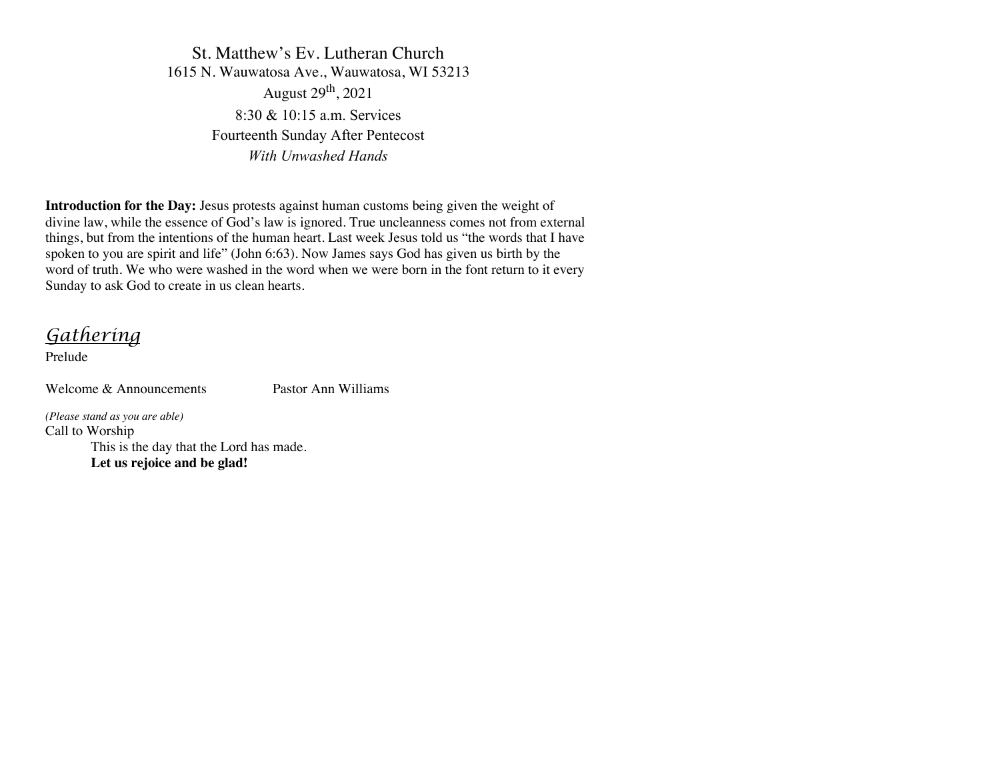St. Matthew's Ev. Lutheran Church 1615 N. Wauwatosa Ave., Wauwatosa, WI 53213 August  $29<sup>th</sup>$ , 2021 8:30 & 10:15 a.m. Services Fourteenth Sunday After Pentecost *With Unwashed Hands*

**Introduction for the Day:** Jesus protests against human customs being given the weight of divine law, while the essence of God's law is ignored. True uncleanness comes not from external things, but from the intentions of the human heart. Last week Jesus told us "the words that I have spoken to you are spirit and life" (John 6:63). Now James says God has given us birth by the word of truth. We who were washed in the word when we were born in the font return to it every Sunday to ask God to create in us clean hearts.

*Gathering*

Prelude

Welcome & Announcements Pastor Ann Williams

*(Please stand as you are able)* Call to Worship This is the day that the Lord has made. **Let us rejoice and be glad!**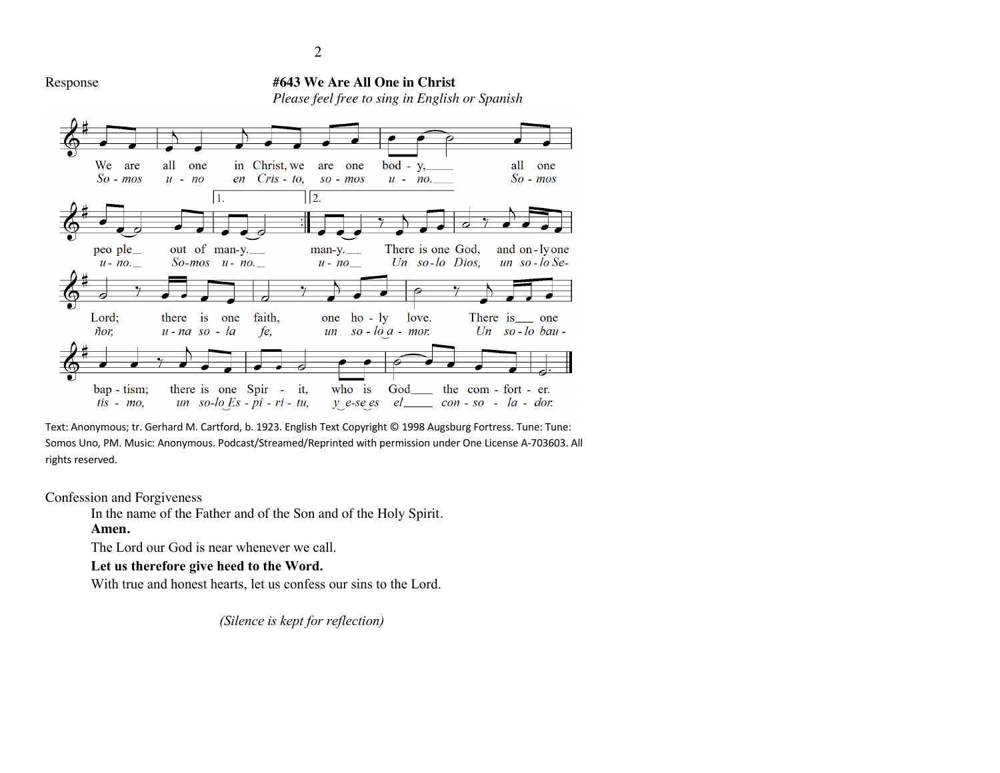

Text: Anonymous; tr. Gerhard M. Cartford, b. 1923. English Text Copyright © 1998 Augsburg Fortress. Tune: Tune: Somos Uno, PM. Music: Anonymous. Podcast/Streamed/Reprinted with permission under One License A-703603. All rights reserved.

Confession and Forgiveness

In the name of the Father and of the Son and of the Holy Spirit.

#### **Amen.**

The Lord our God is near whenever we call.

**Let us therefore give heed to the Word.**

With true and honest hearts, let us confess our sins to the Lord.

 *(Silence is kept for reflection)*

2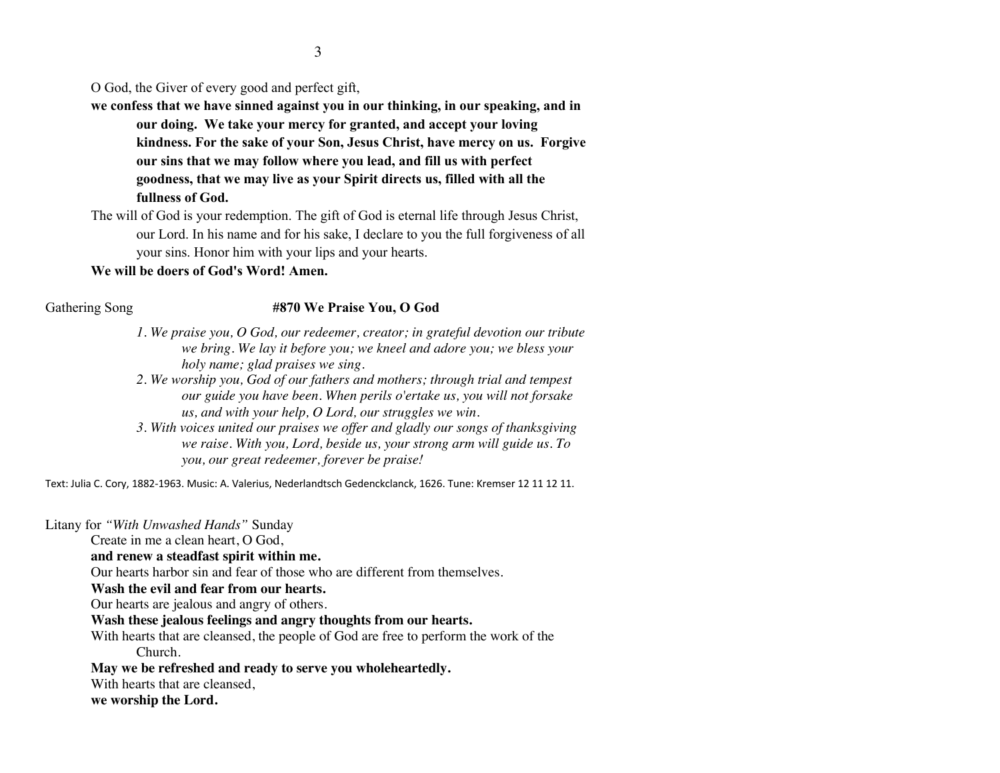3

O God, the Giver of every good and perfect gift,

**we confess that we have sinned against you in our thinking, in our speaking, and in our doing. We take your mercy for granted, and accept your loving kindness. For the sake of your Son, Jesus Christ, have mercy on us. Forgive our sins that we may follow where you lead, and fill us with perfect goodness, that we may live as your Spirit directs us, filled with all the fullness of God.**

The will of God is your redemption. The gift of God is eternal life through Jesus Christ, our Lord. In his name and for his sake, I declare to you the full forgiveness of all your sins. Honor him with your lips and your hearts.

#### **We will be doers of God's Word! Amen.**

#### Gathering Song **#870 We Praise You, O God**

- *1. We praise you, O God, our redeemer, creator; in grateful devotion our tribute we bring. We lay it before you; we kneel and adore you; we bless your holy name; glad praises we sing.*
- *2. We worship you, God of our fathers and mothers; through trial and tempest our guide you have been. When perils o'ertake us, you will not forsake us, and with your help, O Lord, our struggles we win.*
- *3. With voices united our praises we offer and gladly our songs of thanksgiving we raise. With you, Lord, beside us, your strong arm will guide us. To you, our great redeemer, forever be praise!*

Text: Julia C. Cory, 1882-1963. Music: A. Valerius, Nederlandtsch Gedenckclanck, 1626. Tune: Kremser 12 11 12 11.

Litany for *"With Unwashed Hands"* Sunday

Create in me a clean heart, O God,

**and renew a steadfast spirit within me.**

Our hearts harbor sin and fear of those who are different from themselves.

**Wash the evil and fear from our hearts.**

Our hearts are jealous and angry of others.

**Wash these jealous feelings and angry thoughts from our hearts.**

With hearts that are cleansed, the people of God are free to perform the work of the Church.

**May we be refreshed and ready to serve you wholeheartedly.**

With hearts that are cleansed,

**we worship the Lord.**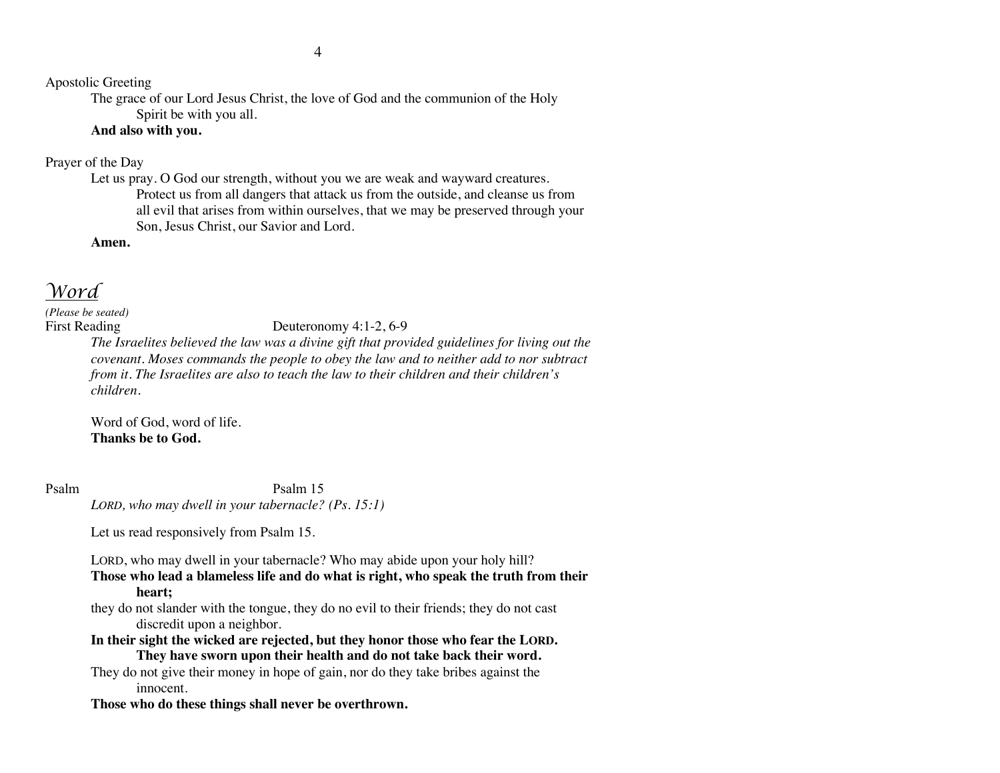Apostolic Greeting

The grace of our Lord Jesus Christ, the love of God and the communion of the Holy Spirit be with you all.

### **And also with you.**

#### Prayer of the Day

Let us pray. O God our strength, without you we are weak and wayward creatures. Protect us from all dangers that attack us from the outside, and cleanse us from all evil that arises from within ourselves, that we may be preserved through your Son, Jesus Christ, our Savior and Lord.

**Amen.**

## *Word*

# *(Please be seated)*

#### First Reading Deuteronomy 4:1-2, 6-9

*The Israelites believed the law was a divine gift that provided guidelines for living out the covenant. Moses commands the people to obey the law and to neither add to nor subtract from it. The Israelites are also to teach the law to their children and their children's children.*

Word of God, word of life. **Thanks be to God.**

Psalm Psalm 15 *LORD, who may dwell in your tabernacle? (Ps. 15:1)*

Let us read responsively from Psalm 15.

LORD, who may dwell in your tabernacle? Who may abide upon your holy hill?

**Those who lead a blameless life and do what is right, who speak the truth from their heart;**

they do not slander with the tongue, they do no evil to their friends; they do not cast discredit upon a neighbor.

**In their sight the wicked are rejected, but they honor those who fear the LORD. They have sworn upon their health and do not take back their word.**

They do not give their money in hope of gain, nor do they take bribes against the innocent.

**Those who do these things shall never be overthrown.**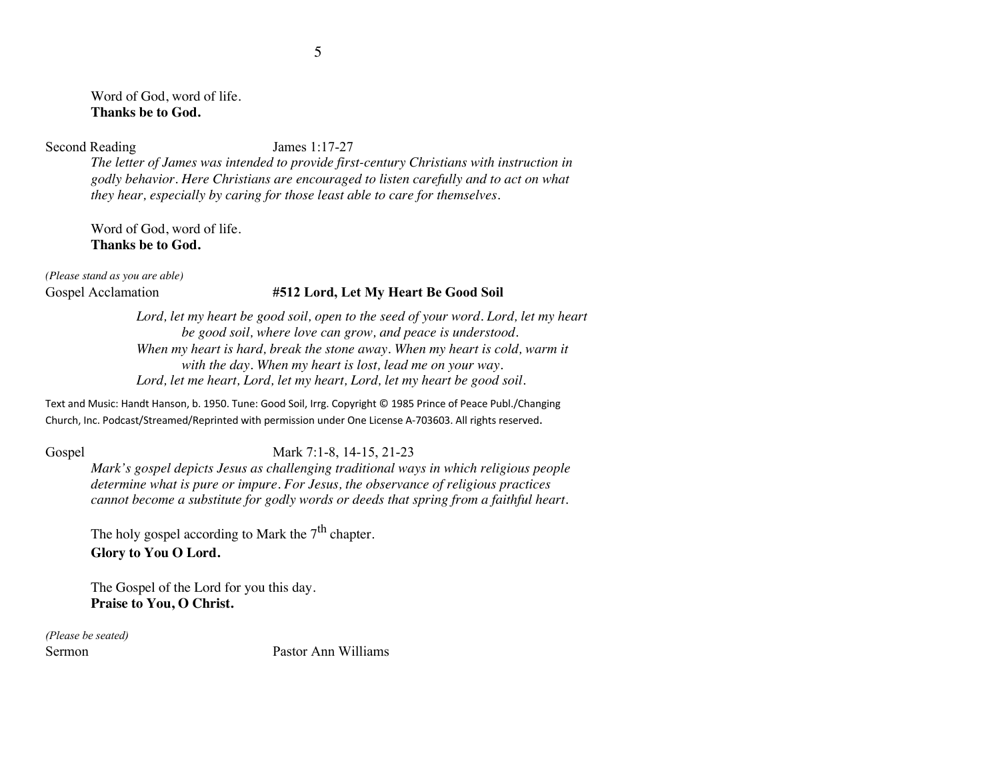Word of God, word of life. **Thanks be to God.**

Second Reading James 1:17-27

*The letter of James was intended to provide first-century Christians with instruction in godly behavior. Here Christians are encouraged to listen carefully and to act on what they hear, especially by caring for those least able to care for themselves.*

Word of God, word of life. **Thanks be to God.**

*(Please stand as you are able)*

#### Gospel Acclamation **#512 Lord, Let My Heart Be Good Soil**

Lord, let my heart be good soil, open to the seed of your word. Lord, let my heart *be good soil, where love can grow, and peace is understood. When my heart is hard, break the stone away. When my heart is cold, warm it with the day. When my heart is lost, lead me on your way. Lord, let me heart, Lord, let my heart, Lord, let my heart be good soil.*

Text and Music: Handt Hanson, b. 1950. Tune: Good Soil, Irrg. Copyright © 1985 Prince of Peace Publ./Changing Church, Inc. Podcast/Streamed/Reprinted with permission under One License A-703603. All rights reserved.

#### Gospel Mark 7:1-8, 14-15, 21-23

*Mark's gospel depicts Jesus as challenging traditional ways in which religious people determine what is pure or impure. For Jesus, the observance of religious practices cannot become a substitute for godly words or deeds that spring from a faithful heart.*

The holy gospel according to Mark the  $7<sup>th</sup>$  chapter. **Glory to You O Lord.**

The Gospel of the Lord for you this day. **Praise to You, O Christ.**

*(Please be seated)*

Sermon Pastor Ann Williams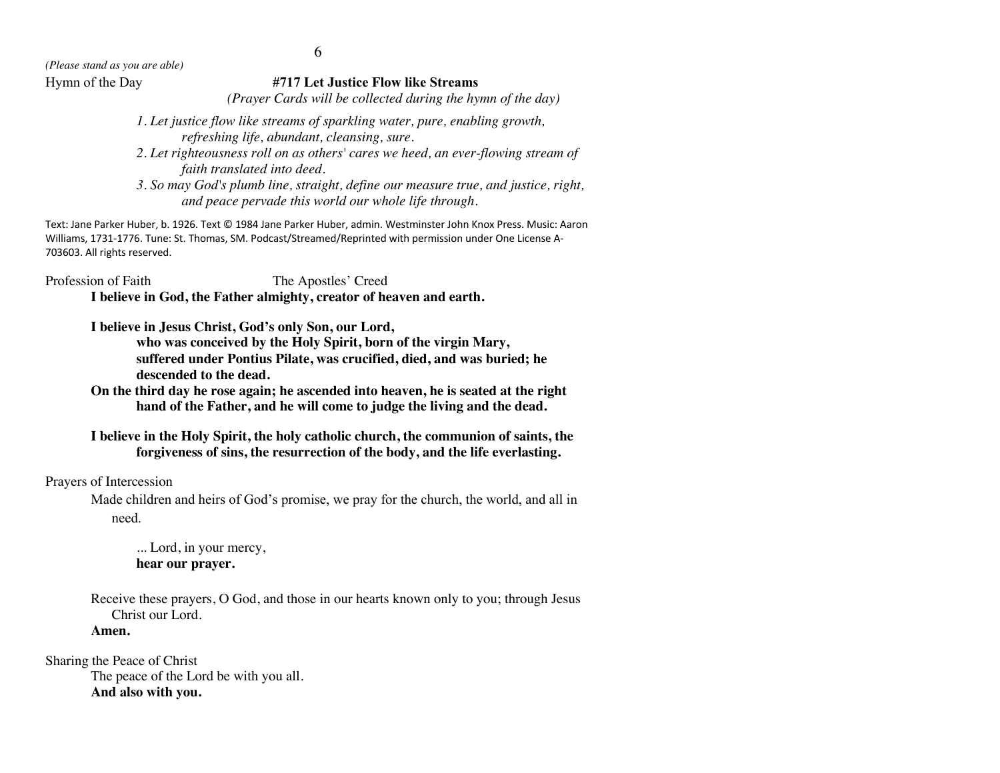#### Hymn of the Day **#717 Let Justice Flow like Streams**

*(Prayer Cards will be collected during the hymn of the day)*

- *1. Let justice flow like streams of sparkling water, pure, enabling growth, refreshing life, abundant, cleansing, sure.*
- *2. Let righteousness roll on as others' cares we heed, an ever-flowing stream of faith translated into deed.*
- *3. So may God's plumb line, straight, define our measure true, and justice, right, and peace pervade this world our whole life through.*

Text: Jane Parker Huber, b. 1926. Text © 1984 Jane Parker Huber, admin. Westminster John Knox Press. Music: Aaron Williams, 1731-1776. Tune: St. Thomas, SM. Podcast/Streamed/Reprinted with permission under One License A-703603. All rights reserved.

Profession of Faith The Apostles' Creed **I believe in God, the Father almighty, creator of heaven and earth.**

> **I believe in Jesus Christ, God's only Son, our Lord, who was conceived by the Holy Spirit, born of the virgin Mary, suffered under Pontius Pilate, was crucified, died, and was buried; he descended to the dead.**

**On the third day he rose again; he ascended into heaven, he is seated at the right hand of the Father, and he will come to judge the living and the dead.**

#### **I believe in the Holy Spirit, the holy catholic church, the communion of saints, the forgiveness of sins, the resurrection of the body, and the life everlasting.**

Prayers of Intercession

Made children and heirs of God's promise, we pray for the church, the world, and all in need.

... Lord, in your mercy, **hear our prayer.**

Receive these prayers, O God, and those in our hearts known only to you; through Jesus Christ our Lord.

**Amen.**

Sharing the Peace of Christ The peace of the Lord be with you all. **And also with you.**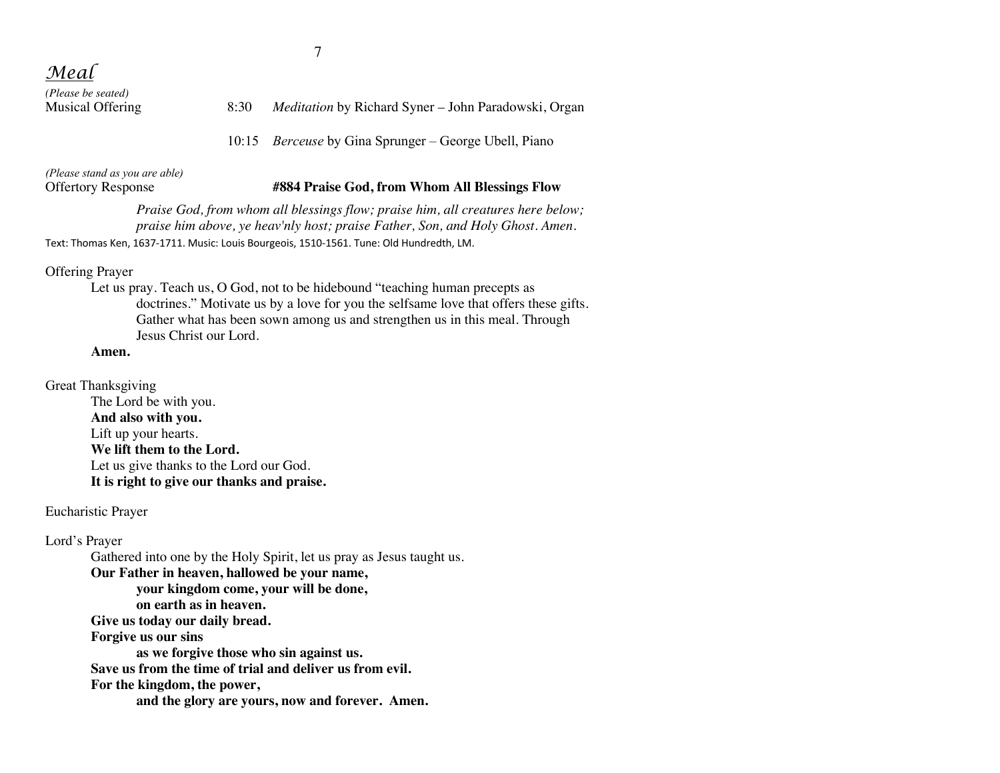*(Please be seated)*

#### 8:30 *Meditation* by Richard Syner – John Paradowski, Organ

10:15 *Berceuse* by Gina Sprunger – George Ubell, Piano

*(Please stand as you are able)*

#### Offertory Response **#884 Praise God, from Whom All Blessings Flow**

*Praise God, from whom all blessings flow; praise him, all creatures here below; praise him above, ye heav'nly host; praise Father, Son, and Holy Ghost. Amen.* Text: Thomas Ken, 1637-1711. Music: Louis Bourgeois, 1510-1561. Tune: Old Hundredth, LM.

Offering Prayer

Let us pray. Teach us, O God, not to be hidebound "teaching human precepts as doctrines." Motivate us by a love for you the selfsame love that offers these gifts. Gather what has been sown among us and strengthen us in this meal. Through Jesus Christ our Lord.

#### **Amen.**

Great Thanksgiving The Lord be with you. **And also with you.** Lift up your hearts. **We lift them to the Lord.** Let us give thanks to the Lord our God. **It is right to give our thanks and praise.**

Eucharistic Prayer

Lord's Prayer Gathered into one by the Holy Spirit, let us pray as Jesus taught us. **Our Father in heaven, hallowed be your name, your kingdom come, your will be done, on earth as in heaven. Give us today our daily bread. Forgive us our sins as we forgive those who sin against us. Save us from the time of trial and deliver us from evil. For the kingdom, the power, and the glory are yours, now and forever. Amen.**